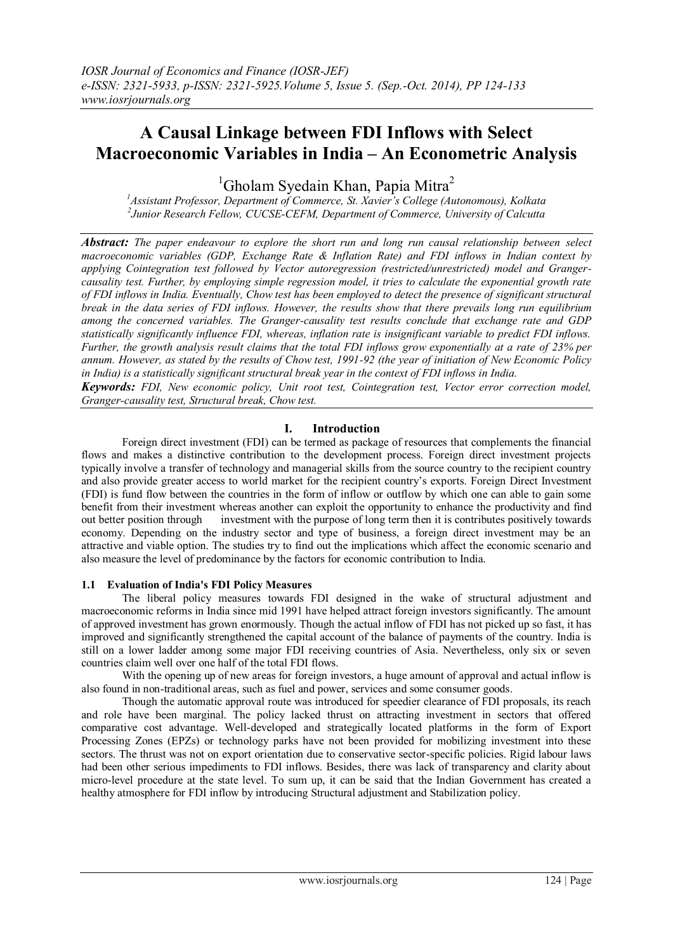# **A Causal Linkage between FDI Inflows with Select Macroeconomic Variables in India – An Econometric Analysis**

<sup>1</sup>Gholam Svedain Khan, Papia Mitra<sup>2</sup>

*<sup>1</sup>Assistant Professor, Department of Commerce, St. Xavier's College (Autonomous), Kolkata 2 Junior Research Fellow, CUCSE-CEFM, Department of Commerce, University of Calcutta*

*Abstract: The paper endeavour to explore the short run and long run causal relationship between select macroeconomic variables (GDP, Exchange Rate & Inflation Rate) and FDI inflows in Indian context by applying Cointegration test followed by Vector autoregression (restricted/unrestricted) model and Grangercausality test. Further, by employing simple regression model, it tries to calculate the exponential growth rate of FDI inflows in India. Eventually, Chow test has been employed to detect the presence of significant structural break in the data series of FDI inflows. However, the results show that there prevails long run equilibrium among the concerned variables. The Granger-causality test results conclude that exchange rate and GDP statistically significantly influence FDI, whereas, inflation rate is insignificant variable to predict FDI inflows. Further, the growth analysis result claims that the total FDI inflows grow exponentially at a rate of 23% per annum. However, as stated by the results of Chow test, 1991-92 (the year of initiation of New Economic Policy in India) is a statistically significant structural break year in the context of FDI inflows in India.* 

*Keywords: FDI, New economic policy, Unit root test, Cointegration test, Vector error correction model, Granger-causality test, Structural break, Chow test.*

# **I. Introduction**

Foreign direct investment (FDI) can be termed as package of resources that complements the financial flows and makes a distinctive contribution to the development process. Foreign direct investment projects typically involve a transfer of technology and managerial skills from the source country to the recipient country and also provide greater access to world market for the recipient country's exports. Foreign Direct Investment (FDI) is fund flow between the countries in the form of inflow or outflow by which one can able to gain some benefit from their investment whereas another can exploit the opportunity to enhance the productivity and find out better position through investment with the purpose of long term then it is contributes positively towards economy. Depending on the industry sector and type of business, a foreign direct investment may be an attractive and viable option. The studies try to find out the implications which affect the economic scenario and also measure the level of predominance by the factors for economic contribution to India.

# **1.1 Evaluation of India's FDI Policy Measures**

The liberal policy measures towards FDI designed in the wake of structural adjustment and macroeconomic reforms in India since mid 1991 have helped attract foreign investors significantly. The amount of approved investment has grown enormously. Though the actual inflow of FDI has not picked up so fast, it has improved and significantly strengthened the capital account of the balance of payments of the country. India is still on a lower ladder among some major FDI receiving countries of Asia. Nevertheless, only six or seven countries claim well over one half of the total FDI flows.

With the opening up of new areas for foreign investors, a huge amount of approval and actual inflow is also found in non-traditional areas, such as fuel and power, services and some consumer goods.

Though the automatic approval route was introduced for speedier clearance of FDI proposals, its reach and role have been marginal. The policy lacked thrust on attracting investment in sectors that offered comparative cost advantage. Well-developed and strategically located platforms in the form of Export Processing Zones (EPZs) or technology parks have not been provided for mobilizing investment into these sectors. The thrust was not on export orientation due to conservative sector-specific policies. Rigid labour laws had been other serious impediments to FDI inflows. Besides, there was lack of transparency and clarity about micro-level procedure at the state level. To sum up, it can be said that the Indian Government has created a healthy atmosphere for FDI inflow by introducing Structural adjustment and Stabilization policy.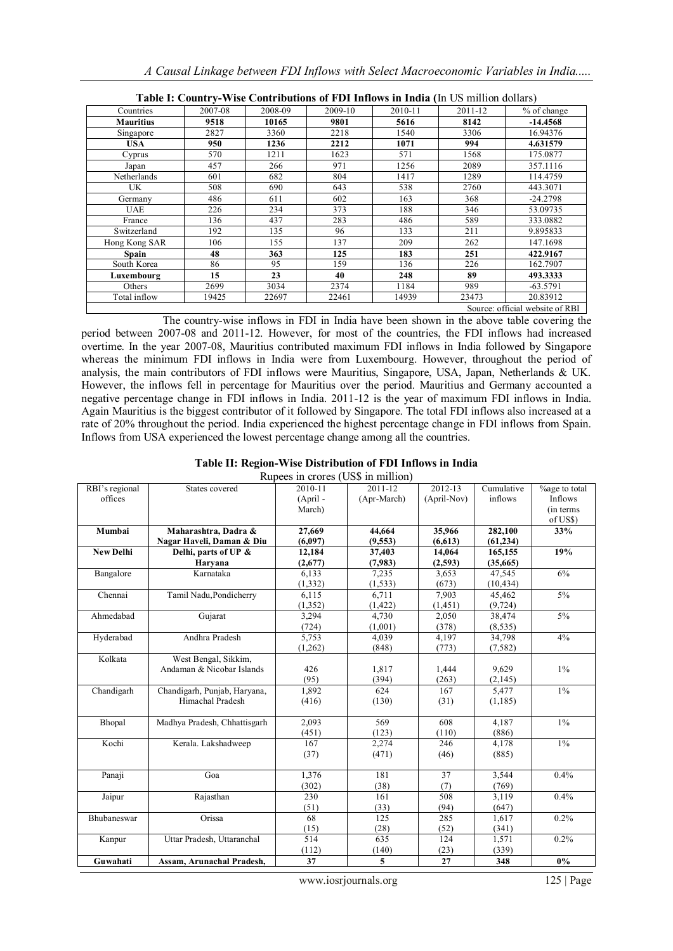| A Causal Linkage between FDI Inflows with Select Macroeconomic Variables in India |
|-----------------------------------------------------------------------------------|
|-----------------------------------------------------------------------------------|

| <b>Fabie 1. Country-verse Contributions of PDT Hillows in Hitlera (III OS IIIIIII)01 GORALS)</b> |                                 |         |         |         |         |             |  |  |  |  |
|--------------------------------------------------------------------------------------------------|---------------------------------|---------|---------|---------|---------|-------------|--|--|--|--|
| Countries                                                                                        | 2007-08                         | 2008-09 | 2009-10 | 2010-11 | 2011-12 | % of change |  |  |  |  |
| <b>Mauritius</b>                                                                                 | 9518                            | 10165   | 9801    | 5616    | 8142    | $-14.4568$  |  |  |  |  |
| Singapore                                                                                        | 2827                            | 3360    | 2218    | 1540    | 3306    | 16.94376    |  |  |  |  |
| USA.                                                                                             | 950                             | 1236    | 2212    | 1071    | 994     | 4.631579    |  |  |  |  |
| Cyprus                                                                                           | 570                             | 1211    | 1623    | 571     | 1568    | 175.0877    |  |  |  |  |
| Japan                                                                                            | 457                             | 266     | 971     | 1256    | 2089    | 357.1116    |  |  |  |  |
| Netherlands                                                                                      | 601                             | 682     | 804     | 1417    | 1289    | 114.4759    |  |  |  |  |
| UK                                                                                               | 508                             | 690     | 643     | 538     | 2760    | 443.3071    |  |  |  |  |
| Germany                                                                                          | 486                             | 611     | 602     | 163     | 368     | $-24.2798$  |  |  |  |  |
| UAE                                                                                              | 226                             | 234     | 373     | 188     | 346     | 53.09735    |  |  |  |  |
| France                                                                                           | 136                             | 437     | 283     | 486     | 589     | 333.0882    |  |  |  |  |
| Switzerland                                                                                      | 192                             | 135     | 96      | 133     | 211     | 9.895833    |  |  |  |  |
| Hong Kong SAR                                                                                    | 106                             | 155     | 137     | 209     | 262     | 147.1698    |  |  |  |  |
| Spain                                                                                            | 48                              | 363     | 125     | 183     | 251     | 422.9167    |  |  |  |  |
| South Korea                                                                                      | 86                              | 95      | 159     | 136     | 226     | 162.7907    |  |  |  |  |
| Luxembourg                                                                                       | 15                              | 23      | 40      | 248     | 89      | 493.3333    |  |  |  |  |
| Others                                                                                           | 2699                            | 3034    | 2374    | 1184    | 989     | $-63.5791$  |  |  |  |  |
| Total inflow                                                                                     | 19425                           | 22697   | 22461   | 14939   | 23473   | 20.83912    |  |  |  |  |
|                                                                                                  | Source: official website of RBI |         |         |         |         |             |  |  |  |  |

**Table I: Country-Wise Contributions of FDI Inflows in India (**In US million dollars)

The country-wise inflows in FDI in India have been shown in the above table covering the period between 2007-08 and 2011-12. However, for most of the countries, the FDI inflows had increased overtime. In the year 2007-08, Mauritius contributed maximum FDI inflows in India followed by Singapore whereas the minimum FDI inflows in India were from Luxembourg. However, throughout the period of analysis, the main contributors of FDI inflows were Mauritius, Singapore, USA, Japan, Netherlands & UK. However, the inflows fell in percentage for Mauritius over the period. Mauritius and Germany accounted a negative percentage change in FDI inflows in India. 2011-12 is the year of maximum FDI inflows in India. Again Mauritius is the biggest contributor of it followed by Singapore. The total FDI inflows also increased at a rate of 20% throughout the period. India experienced the highest percentage change in FDI inflows from Spain. Inflows from USA experienced the lowest percentage change among all the countries.

# **Table II: Region-Wise Distribution of FDI Inflows in India**

| Rupees in crores (US\$ in million) |                              |            |             |             |            |               |
|------------------------------------|------------------------------|------------|-------------|-------------|------------|---------------|
| RBI's regional                     | States covered               | 2010-11    | 2011-12     | 2012-13     | Cumulative | %age to total |
| offices                            |                              | $(April -$ | (Apr-March) | (April-Nov) | inflows    | Inflows       |
|                                    |                              | March)     |             |             |            | (in terms     |
|                                    |                              |            |             |             |            | of US\$)      |
| Mumbai                             | Maharashtra, Dadra &         | 27,669     | 44,664      | 35,966      | 282,100    | 33%           |
|                                    | Nagar Haveli, Daman & Diu    | (6,097)    | (9,553)     | (6,613)     | (61, 234)  |               |
| <b>New Delhi</b>                   | Delhi, parts of UP &         | 12,184     | 37,403      | 14,064      | 165,155    | 19%           |
|                                    | Haryana                      | (2,677)    | (7,983)     | (2,593)     | (35,665)   |               |
| Bangalore                          | Karnataka                    | 6,133      | 7,235       | 3,653       | 47,545     | 6%            |
|                                    |                              | (1, 332)   | (1, 533)    | (673)       | (10, 434)  |               |
| Chennai                            | Tamil Nadu, Pondicherry      | 6,115      | 6,711       | 7,903       | 45,462     | $5\%$         |
|                                    |                              | (1, 352)   | (1, 422)    | (1, 451)    | (9, 724)   |               |
| Ahmedabad                          | Gujarat                      | 3,294      | 4,730       | 2,050       | 38,474     | $5\%$         |
|                                    |                              | (724)      | (1,001)     | (378)       | (8,535)    |               |
| Hyderabad                          | Andhra Pradesh               | 5,753      | 4,039       | 4,197       | 34,798     | 4%            |
|                                    |                              | (1,262)    | (848)       | (773)       | (7,582)    |               |
| Kolkata                            | West Bengal, Sikkim,         |            |             |             |            |               |
|                                    | Andaman & Nicobar Islands    | 426        | 1,817       | 1,444       | 9,629      | $1\%$         |
|                                    |                              | (95)       | (394)       | (263)       | (2,145)    |               |
| Chandigarh                         | Chandigarh, Punjab, Haryana, | 1,892      | 624         | 167         | 5,477      | $1\%$         |
|                                    | Himachal Pradesh             | (416)      | (130)       | (31)        | (1, 185)   |               |
|                                    |                              |            |             |             |            |               |
| Bhopal                             | Madhya Pradesh, Chhattisgarh | 2,093      | 569         | 608         | 4,187      | $1\%$         |
|                                    |                              | (451)      | (123)       | (110)       | (886)      |               |
| Kochi                              | Kerala. Lakshadweep          | 167        | 2,274       | 246         | 4,178      | $1\%$         |
|                                    |                              | (37)       | (471)       | (46)        | (885)      |               |
|                                    |                              |            |             |             |            |               |
| Panaji                             | Goa                          | 1,376      | 181         | 37          | 3,544      | 0.4%          |
|                                    |                              | (302)      | (38)        | (7)         | (769)      |               |
| Jaipur                             | Rajasthan                    | 230        | 161         | 508         | 3,119      | 0.4%          |
|                                    |                              | (51)       | (33)        | (94)        | (647)      |               |
| Bhubaneswar                        | Orissa                       | 68         | 125         | 285         | 1,617      | 0.2%          |
|                                    |                              | (15)       | (28)        | (52)        | (341)      |               |
| Kanpur                             | Uttar Pradesh, Uttaranchal   | 514        | 635         | 124         | 1,571      | 0.2%          |
|                                    |                              | (112)      | (140)       | (23)        | (339)      |               |
| Guwahati                           | Assam, Arunachal Pradesh,    | 37         | 5           | 27          | 348        | $0\%$         |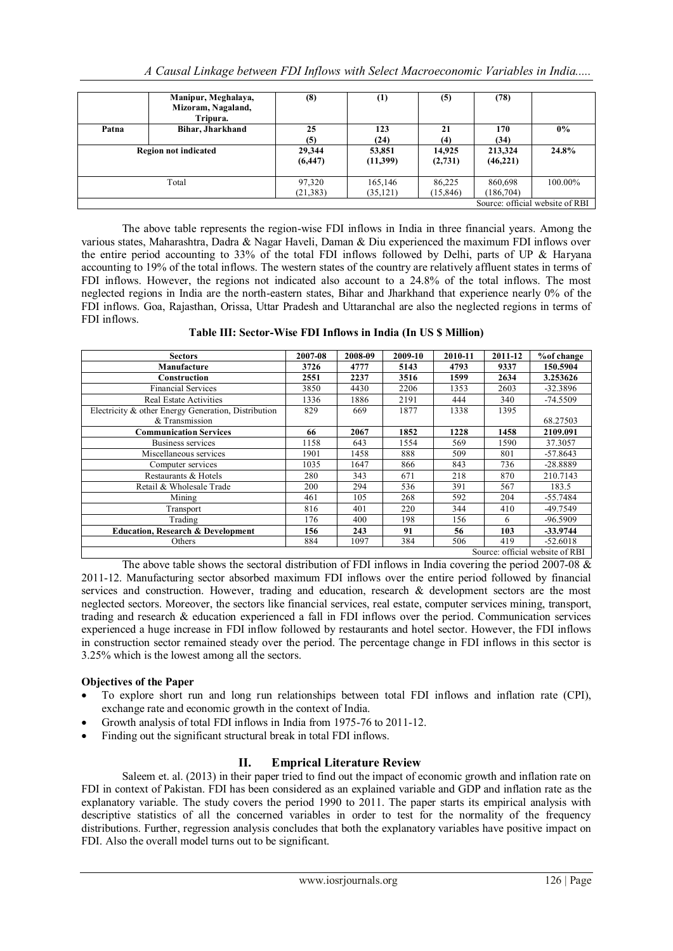|                             | Manipur, Meghalaya,<br>Mizoram, Nagaland,<br>Tripura. | (8)                 | $\left(1\right)$     | (5)                 | (78)                  |                                 |
|-----------------------------|-------------------------------------------------------|---------------------|----------------------|---------------------|-----------------------|---------------------------------|
| Patna                       | Bihar, Jharkhand                                      | 25                  | 123                  | 21                  | 170                   | $0\%$                           |
|                             |                                                       | (5)                 | (24)                 | (4)                 | (34)                  |                                 |
| <b>Region not indicated</b> |                                                       | 29,344<br>(6, 447)  | 53,851<br>(11,399)   | 14.925<br>(2,731)   | 213,324<br>(46,221)   | 24.8%                           |
| Total                       |                                                       | 97,320<br>(21, 383) | 165,146<br>(35, 121) | 86,225<br>(15, 846) | 860,698<br>(186, 704) | $100.00\%$                      |
|                             |                                                       |                     |                      |                     |                       | Source: official website of RBI |

The above table represents the region-wise FDI inflows in India in three financial years. Among the various states, Maharashtra, Dadra & Nagar Haveli, Daman & Diu experienced the maximum FDI inflows over the entire period accounting to 33% of the total FDI inflows followed by Delhi, parts of UP & Haryana accounting to 19% of the total inflows. The western states of the country are relatively affluent states in terms of FDI inflows. However, the regions not indicated also account to a 24.8% of the total inflows. The most neglected regions in India are the north-eastern states, Bihar and Jharkhand that experience nearly 0% of the FDI inflows. Goa, Rajasthan, Orissa, Uttar Pradesh and Uttaranchal are also the neglected regions in terms of FDI inflows.

**Table III: Sector-Wise FDI Inflows in India (In US \$ Million)**

| <b>Sectors</b>                                      | 2007-08 | 2008-09 | 2009-10 | 2010-11 | 2011-12 | % of change                     |
|-----------------------------------------------------|---------|---------|---------|---------|---------|---------------------------------|
| Manufacture                                         | 3726    | 4777    | 5143    | 4793    | 9337    | 150.5904                        |
| Construction                                        | 2551    | 2237    | 3516    | 1599    | 2634    | 3.253626                        |
| <b>Financial Services</b>                           | 3850    | 4430    | 2206    | 1353    | 2603    | $-32.3896$                      |
| <b>Real Estate Activities</b>                       | 1336    | 1886    | 2191    | 444     | 340     | $-74.5509$                      |
| Electricity & other Energy Generation, Distribution | 829     | 669     | 1877    | 1338    | 1395    |                                 |
| & Transmission                                      |         |         |         |         |         | 68.27503                        |
| <b>Communication Services</b>                       | 66      | 2067    | 1852    | 1228    | 1458    | 2109.091                        |
| Business services                                   | 1158    | 643     | 1554    | 569     | 1590    | 37.3057                         |
| Miscellaneous services                              | 1901    | 1458    | 888     | 509     | 801     | $-57.8643$                      |
| Computer services                                   | 1035    | 1647    | 866     | 843     | 736     | -28.8889                        |
| Restaurants & Hotels                                | 280     | 343     | 671     | 218     | 870     | 210.7143                        |
| Retail & Wholesale Trade                            | 200     | 294     | 536     | 391     | 567     | 183.5                           |
| Mining                                              | 461     | 105     | 268     | 592     | 204     | $-55.7484$                      |
| Transport                                           | 816     | 401     | 220     | 344     | 410     | -49.7549                        |
| Trading                                             | 176     | 400     | 198     | 156     | 6       | -96.5909                        |
| <b>Education, Research &amp; Development</b>        | 156     | 243     | 91      | 56      | 103     | $-33.9744$                      |
| Others                                              | 884     | 1097    | 384     | 506     | 419     | $-52.6018$                      |
|                                                     |         |         |         |         |         | Source: official website of RBI |

The above table shows the sectoral distribution of FDI inflows in India covering the period 2007-08  $\&$ 2011-12. Manufacturing sector absorbed maximum FDI inflows over the entire period followed by financial services and construction. However, trading and education, research & development sectors are the most neglected sectors. Moreover, the sectors like financial services, real estate, computer services mining, transport, trading and research & education experienced a fall in FDI inflows over the period. Communication services experienced a huge increase in FDI inflow followed by restaurants and hotel sector. However, the FDI inflows in construction sector remained steady over the period. The percentage change in FDI inflows in this sector is 3.25% which is the lowest among all the sectors.

# **Objectives of the Paper**

- To explore short run and long run relationships between total FDI inflows and inflation rate (CPI), exchange rate and economic growth in the context of India.
- Growth analysis of total FDI inflows in India from 1975-76 to 2011-12.
- Finding out the significant structural break in total FDI inflows.

# **II. Emprical Literature Review**

Saleem et. al. (2013) in their paper tried to find out the impact of economic growth and inflation rate on FDI in context of Pakistan. FDI has been considered as an explained variable and GDP and inflation rate as the explanatory variable. The study covers the period 1990 to 2011. The paper starts its empirical analysis with descriptive statistics of all the concerned variables in order to test for the normality of the frequency distributions. Further, regression analysis concludes that both the explanatory variables have positive impact on FDI. Also the overall model turns out to be significant.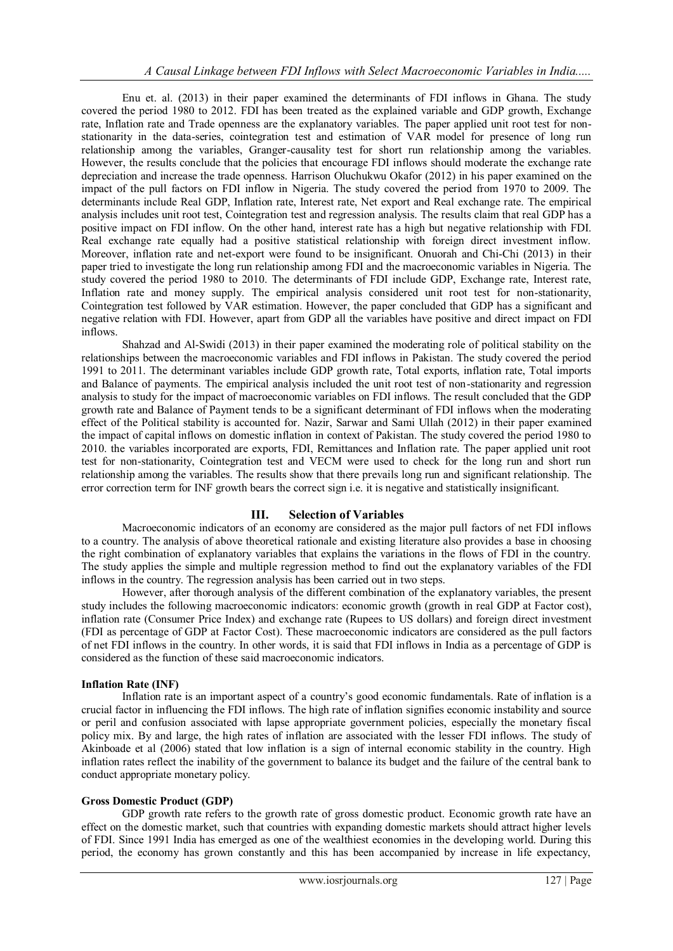Enu et. al. (2013) in their paper examined the determinants of FDI inflows in Ghana. The study covered the period 1980 to 2012. FDI has been treated as the explained variable and GDP growth, Exchange rate, Inflation rate and Trade openness are the explanatory variables. The paper applied unit root test for nonstationarity in the data-series, cointegration test and estimation of VAR model for presence of long run relationship among the variables, Granger-causality test for short run relationship among the variables. However, the results conclude that the policies that encourage FDI inflows should moderate the exchange rate depreciation and increase the trade openness. Harrison Oluchukwu Okafor (2012) in his paper examined on the impact of the pull factors on FDI inflow in Nigeria. The study covered the period from 1970 to 2009. The determinants include Real GDP, Inflation rate, Interest rate, Net export and Real exchange rate. The empirical analysis includes unit root test, Cointegration test and regression analysis. The results claim that real GDP has a positive impact on FDI inflow. On the other hand, interest rate has a high but negative relationship with FDI. Real exchange rate equally had a positive statistical relationship with foreign direct investment inflow. Moreover, inflation rate and net-export were found to be insignificant. Onuorah and Chi-Chi (2013) in their paper tried to investigate the long run relationship among FDI and the macroeconomic variables in Nigeria. The study covered the period 1980 to 2010. The determinants of FDI include GDP, Exchange rate, Interest rate, Inflation rate and money supply. The empirical analysis considered unit root test for non-stationarity, Cointegration test followed by VAR estimation. However, the paper concluded that GDP has a significant and negative relation with FDI. However, apart from GDP all the variables have positive and direct impact on FDI inflows.

Shahzad and Al-Swidi (2013) in their paper examined the moderating role of political stability on the relationships between the macroeconomic variables and FDI inflows in Pakistan. The study covered the period 1991 to 2011. The determinant variables include GDP growth rate, Total exports, inflation rate, Total imports and Balance of payments. The empirical analysis included the unit root test of non-stationarity and regression analysis to study for the impact of macroeconomic variables on FDI inflows. The result concluded that the GDP growth rate and Balance of Payment tends to be a significant determinant of FDI inflows when the moderating effect of the Political stability is accounted for. Nazir, Sarwar and Sami Ullah (2012) in their paper examined the impact of capital inflows on domestic inflation in context of Pakistan. The study covered the period 1980 to 2010. the variables incorporated are exports, FDI, Remittances and Inflation rate. The paper applied unit root test for non-stationarity, Cointegration test and VECM were used to check for the long run and short run relationship among the variables. The results show that there prevails long run and significant relationship. The error correction term for INF growth bears the correct sign i.e. it is negative and statistically insignificant.

# **III. Selection of Variables**

Macroeconomic indicators of an economy are considered as the major pull factors of net FDI inflows to a country. The analysis of above theoretical rationale and existing literature also provides a base in choosing the right combination of explanatory variables that explains the variations in the flows of FDI in the country. The study applies the simple and multiple regression method to find out the explanatory variables of the FDI inflows in the country. The regression analysis has been carried out in two steps.

However, after thorough analysis of the different combination of the explanatory variables, the present study includes the following macroeconomic indicators: economic growth (growth in real GDP at Factor cost), inflation rate (Consumer Price Index) and exchange rate (Rupees to US dollars) and foreign direct investment (FDI as percentage of GDP at Factor Cost). These macroeconomic indicators are considered as the pull factors of net FDI inflows in the country. In other words, it is said that FDI inflows in India as a percentage of GDP is considered as the function of these said macroeconomic indicators.

### **Inflation Rate (INF)**

Inflation rate is an important aspect of a country's good economic fundamentals. Rate of inflation is a crucial factor in influencing the FDI inflows. The high rate of inflation signifies economic instability and source or peril and confusion associated with lapse appropriate government policies, especially the monetary fiscal policy mix. By and large, the high rates of inflation are associated with the lesser FDI inflows. The study of Akinboade et al (2006) stated that low inflation is a sign of internal economic stability in the country. High inflation rates reflect the inability of the government to balance its budget and the failure of the central bank to conduct appropriate monetary policy.

## **Gross Domestic Product (GDP)**

GDP growth rate refers to the growth rate of gross domestic product. Economic growth rate have an effect on the domestic market, such that countries with expanding domestic markets should attract higher levels of FDI. Since 1991 India has emerged as one of the wealthiest economies in the developing world. During this period, the economy has grown constantly and this has been accompanied by increase in life expectancy,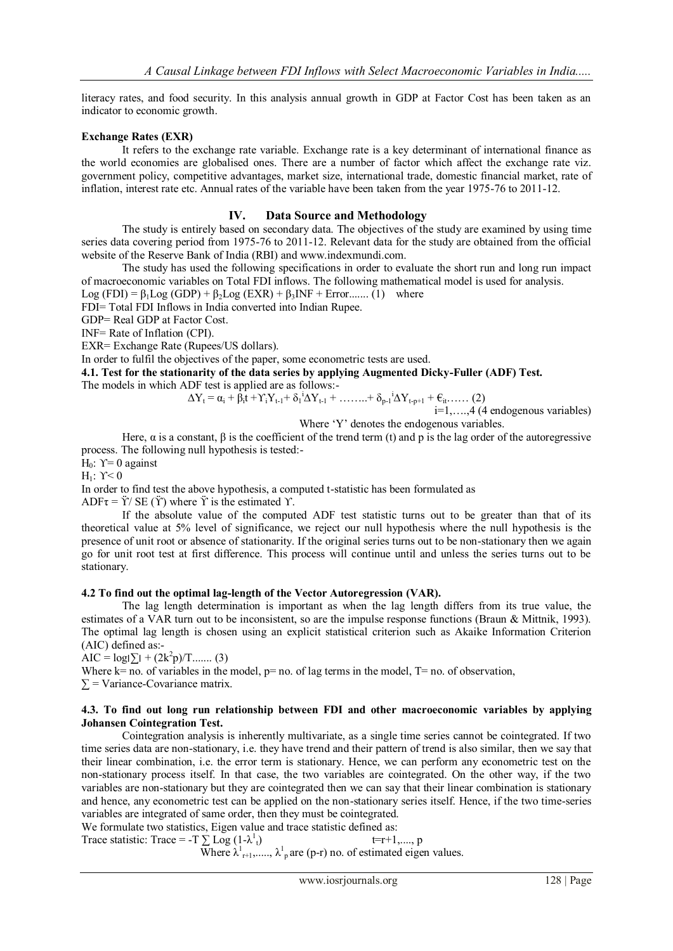literacy rates, and food security. In this analysis annual growth in GDP at Factor Cost has been taken as an indicator to economic growth.

## **Exchange Rates (EXR)**

It refers to the exchange rate variable. Exchange rate is a key determinant of international finance as the world economies are globalised ones. There are a number of factor which affect the exchange rate viz. government policy, competitive advantages, market size, international trade, domestic financial market, rate of inflation, interest rate etc. Annual rates of the variable have been taken from the year 1975-76 to 2011-12.

# **IV. Data Source and Methodology**

The study is entirely based on secondary data. The objectives of the study are examined by using time series data covering period from 1975-76 to 2011-12. Relevant data for the study are obtained from the official website of the Reserve Bank of India (RBI) and www.indexmundi.com.

The study has used the following specifications in order to evaluate the short run and long run impact of macroeconomic variables on Total FDI inflows. The following mathematical model is used for analysis.

Log (FDI) =  $\beta_1$ Log (GDP) +  $\beta_2$ Log (EXR) +  $\beta_3$ INF + Error........ (1) where

FDI= Total FDI Inflows in India converted into Indian Rupee.

GDP= Real GDP at Factor Cost.

INF= Rate of Inflation (CPI).

EXR= Exchange Rate (Rupees/US dollars).

In order to fulfil the objectives of the paper, some econometric tests are used.

**4.1. Test for the stationarity of the data series by applying Augmented Dicky-Fuller (ADF) Test.**

The models in which ADF test is applied are as follows:-

 $\Delta Y_t = \alpha_i + \hat{\beta}_i \hat{t} + \gamma_i Y_{t-1} + \delta_1 \Delta Y_{t-1} + \ldots + \delta_{p-1} \Delta Y_{t-p+1} + \epsilon_{it} \ldots$  (2)

i=1,….,4 (4 endogenous variables)

Where 'Y' denotes the endogenous variables.

Here,  $\alpha$  is a constant,  $\beta$  is the coefficient of the trend term (t) and p is the lag order of the autoregressive process. The following null hypothesis is tested:-

H<sub>0</sub>:  $Y=0$  against

H<sub>1</sub>:  $Y<0$ 

In order to find test the above hypothesis, a computed t-statistic has been formulated as

ADF $\tau = \ddot{Y}/\text{SE}(\ddot{Y})$  where  $\ddot{Y}$  is the estimated  $Y$ .

If the absolute value of the computed ADF test statistic turns out to be greater than that of its theoretical value at 5% level of significance, we reject our null hypothesis where the null hypothesis is the presence of unit root or absence of stationarity. If the original series turns out to be non-stationary then we again go for unit root test at first difference. This process will continue until and unless the series turns out to be stationary.

### **4.2 To find out the optimal lag-length of the Vector Autoregression (VAR).**

The lag length determination is important as when the lag length differs from its true value, the estimates of a VAR turn out to be inconsistent, so are the impulse response functions (Braun & Mittnik, 1993). The optimal lag length is chosen using an explicit statistical criterion such as Akaike Information Criterion (AIC) defined as:-

AIC =  $log|\sum$ <sub>1</sub> +  $(2k^2p)$ /T....... (3)

Where  $k=$  no. of variables in the model,  $p=$  no. of lag terms in the model,  $T=$  no. of observation,  $\Sigma$  = Variance-Covariance matrix.

### **4.3. To find out long run relationship between FDI and other macroeconomic variables by applying Johansen Cointegration Test.**

Cointegration analysis is inherently multivariate, as a single time series cannot be cointegrated. If two time series data are non-stationary, i.e. they have trend and their pattern of trend is also similar, then we say that their linear combination, i.e. the error term is stationary. Hence, we can perform any econometric test on the non-stationary process itself. In that case, the two variables are cointegrated. On the other way, if the two variables are non-stationary but they are cointegrated then we can say that their linear combination is stationary and hence, any econometric test can be applied on the non-stationary series itself. Hence, if the two time-series variables are integrated of same order, then they must be cointegrated.

We formulate two statistics, Eigen value and trace statistic defined as:

Trace statistic: Trace = -T  $\sum Log (1-\lambda^1)$  $t=r+1, \ldots, p$ Where  $\lambda^1_{r+1},..., \lambda^1_{p}$  are (p-r) no. of estimated eigen values.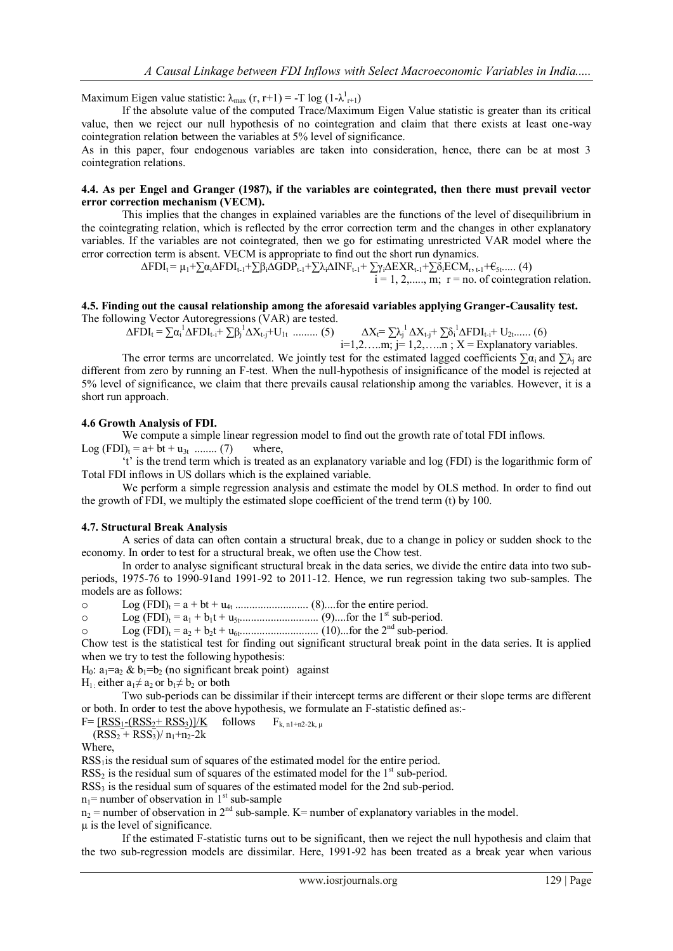Maximum Eigen value statistic:  $\lambda_{\text{max}} (r, r+1) = -T \log (1 - \lambda_{r+1}^1)$ 

If the absolute value of the computed Trace/Maximum Eigen Value statistic is greater than its critical value, then we reject our null hypothesis of no cointegration and claim that there exists at least one-way cointegration relation between the variables at 5% level of significance.

As in this paper, four endogenous variables are taken into consideration, hence, there can be at most 3 cointegration relations.

#### **4.4. As per Engel and Granger (1987), if the variables are cointegrated, then there must prevail vector error correction mechanism (VECM).**

This implies that the changes in explained variables are the functions of the level of disequilibrium in the cointegrating relation, which is reflected by the error correction term and the changes in other explanatory variables. If the variables are not cointegrated, then we go for estimating unrestricted VAR model where the error correction term is absent. VECM is appropriate to find out the short run dynamics.

 $\Delta \text{FDI}_t = \mu_1 + \sum \alpha_i \Delta \text{FDI}_{t-1} + \sum \beta_i \Delta \text{GDP}_{t-1} + \sum \lambda_i \Delta \text{INF}_{t-1} + \sum \gamma_i \Delta \text{EXR}_{t-1} + \sum \delta_i \text{ECM}_{r, t-1} + \epsilon_{5t} \dots$ . (4)

 $\overline{i} = 1, 2, \dots, \overline{m}$ ;  $\overline{r} = n\overline{o}$ . of cointegration relation.

#### **4.5. Finding out the causal relationship among the aforesaid variables applying Granger-Causality test.** The following Vector Autoregressions (VAR) are tested.

 $\Delta FDI_t = \sum \alpha_i^1 \Delta FDI_{t-i} + \sum \beta_j^1 \Delta X_{t-j} + U_{1t}$  ......... (5)  $\Delta X_t = \sum \lambda_j^1 \Delta X_{t-j} + \sum \delta_i^1 \Delta FDI_{t-i} + U_{2t}$ ...... (6)  $i=1,2,...\ldots m; j=1,2,...\ldots n; X =$ Explanatory variables.

The error terms are uncorrelated. We jointly test for the estimated lagged coefficients  $\sum a_i$  and  $\sum \lambda_i$  are different from zero by running an F-test. When the null-hypothesis of insignificance of the model is rejected at 5% level of significance, we claim that there prevails causal relationship among the variables. However, it is a short run approach.

# **4.6 Growth Analysis of FDI.**

We compute a simple linear regression model to find out the growth rate of total FDI inflows.

Log  $(FDI)_{t} = a + bt + u_{3t}$  ........ (7) where,

't' is the trend term which is treated as an explanatory variable and log (FDI) is the logarithmic form of Total FDI inflows in US dollars which is the explained variable.

We perform a simple regression analysis and estimate the model by OLS method. In order to find out the growth of FDI, we multiply the estimated slope coefficient of the trend term (t) by 100.

### **4.7. Structural Break Analysis**

A series of data can often contain a structural break, due to a change in policy or sudden shock to the economy. In order to test for a structural break, we often use the Chow test.

In order to analyse significant structural break in the data series, we divide the entire data into two subperiods, 1975-76 to 1990-91and 1991-92 to 2011-12. Hence, we run regression taking two sub-samples. The models are as follows:

o Log (FDI)<sup>t</sup> = a + bt + u4t .......................... (8)....for the entire period.

o Log (FDI)<sup>t</sup> = a<sup>1</sup> + b1t + u5t............................ (9)....for the 1st sub-period.

o Log (FDI)<sup>t</sup> = a<sup>2</sup> + b2t + u6t............................ (10)...for the 2nd sub-period.

Chow test is the statistical test for finding out significant structural break point in the data series. It is applied when we try to test the following hypothesis:

H<sub>0</sub>:  $a_1=a_2 \& b_1=b_2$  (no significant break point) against

H<sub>1</sub>: either  $a_1 \neq a_2$  or  $b_1 \neq b_2$  or both

Two sub-periods can be dissimilar if their intercept terms are different or their slope terms are different or both. In order to test the above hypothesis, we formulate an F-statistic defined as:-

 $F = \frac{[RSS_1 - (RSS_2 + RSS_3)]}{K}$  follows  $F_{k, n1+n2-2k, \mu}$ 

$$
(RSS2 + RSS3)/ n1+n2-2k
$$

Where,

RSS<sub>1</sub> is the residual sum of squares of the estimated model for the entire period.

 $RSS<sub>2</sub>$  is the residual sum of squares of the estimated model for the  $1<sup>st</sup>$  sub-period.

 $RSS<sub>3</sub>$  is the residual sum of squares of the estimated model for the 2nd sub-period.

 $n_1$ = number of observation in  $1<sup>st</sup>$  sub-sample

 $n_2$  = number of observation in 2<sup>nd</sup> sub-sample. K= number of explanatory variables in the model.

µ is the level of significance.

If the estimated F-statistic turns out to be significant, then we reject the null hypothesis and claim that the two sub-regression models are dissimilar. Here, 1991-92 has been treated as a break year when various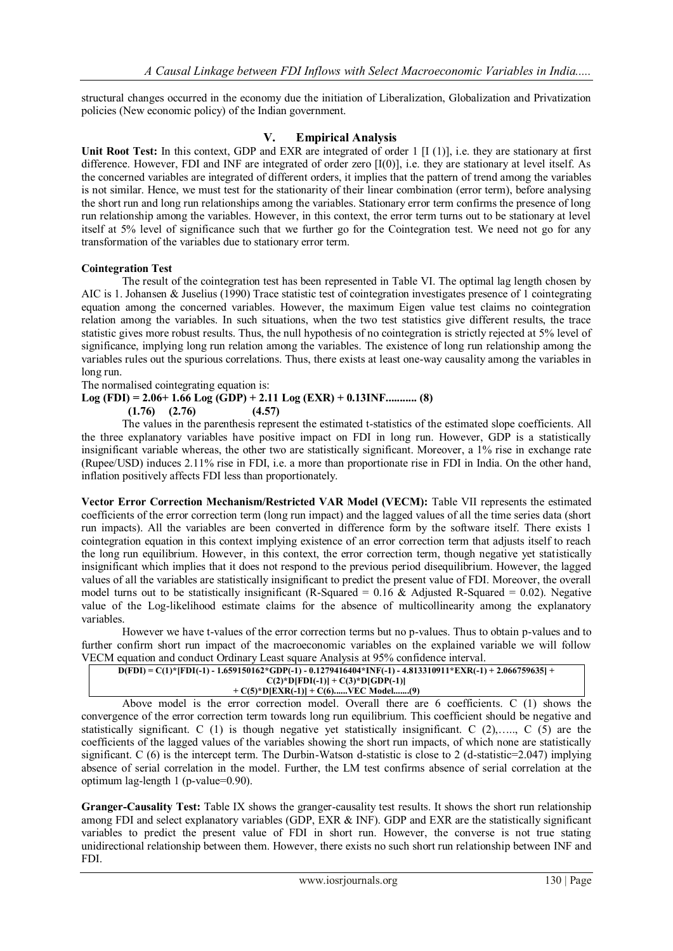structural changes occurred in the economy due the initiation of Liberalization, Globalization and Privatization policies (New economic policy) of the Indian government.

# **V. Empirical Analysis**

Unit Root Test: In this context, GDP and EXR are integrated of order 1 [I (1)], i.e. they are stationary at first difference. However, FDI and INF are integrated of order zero [I(0)], i.e. they are stationary at level itself. As the concerned variables are integrated of different orders, it implies that the pattern of trend among the variables is not similar. Hence, we must test for the stationarity of their linear combination (error term), before analysing the short run and long run relationships among the variables. Stationary error term confirms the presence of long run relationship among the variables. However, in this context, the error term turns out to be stationary at level itself at 5% level of significance such that we further go for the Cointegration test. We need not go for any transformation of the variables due to stationary error term.

### **Cointegration Test**

The result of the cointegration test has been represented in Table VI. The optimal lag length chosen by AIC is 1. Johansen & Juselius (1990) Trace statistic test of cointegration investigates presence of 1 cointegrating equation among the concerned variables. However, the maximum Eigen value test claims no cointegration relation among the variables. In such situations, when the two test statistics give different results, the trace statistic gives more robust results. Thus, the null hypothesis of no cointegration is strictly rejected at 5% level of significance, implying long run relation among the variables. The existence of long run relationship among the variables rules out the spurious correlations. Thus, there exists at least one-way causality among the variables in long run.

The normalised cointegrating equation is:

# **Log (FDI) = 2.06+ 1.66 Log (GDP) + 2.11 Log (EXR) + 0.13INF........... (8)**

 **(1.76) (2.76) (4.57)**

The values in the parenthesis represent the estimated t-statistics of the estimated slope coefficients. All the three explanatory variables have positive impact on FDI in long run. However, GDP is a statistically insignificant variable whereas, the other two are statistically significant. Moreover, a 1% rise in exchange rate (Rupee/USD) induces 2.11% rise in FDI, i.e. a more than proportionate rise in FDI in India. On the other hand, inflation positively affects FDI less than proportionately.

**Vector Error Correction Mechanism/Restricted VAR Model (VECM):** Table VII represents the estimated coefficients of the error correction term (long run impact) and the lagged values of all the time series data (short run impacts). All the variables are been converted in difference form by the software itself. There exists 1 cointegration equation in this context implying existence of an error correction term that adjusts itself to reach the long run equilibrium. However, in this context, the error correction term, though negative yet statistically insignificant which implies that it does not respond to the previous period disequilibrium. However, the lagged values of all the variables are statistically insignificant to predict the present value of FDI. Moreover, the overall model turns out to be statistically insignificant (R-Squared =  $0.16 \&$  Adjusted R-Squared = 0.02). Negative value of the Log-likelihood estimate claims for the absence of multicollinearity among the explanatory variables.

However we have t-values of the error correction terms but no p-values. Thus to obtain p-values and to further confirm short run impact of the macroeconomic variables on the explained variable we will follow VECM equation and conduct Ordinary Least square Analysis at 95% confidence interval.

| $D(FDI) = C(1) * [FDI(-1) - 1.659150162 * GDP(-1) - 0.1279416404 * INF(-1) - 4.813310911 * EXR(-1) + 2.066759635] +$ |  |
|----------------------------------------------------------------------------------------------------------------------|--|
| $C(2)*D[FD](-1)] + C(3)*D[GDP(-1)]$                                                                                  |  |
| $+ C(5)*D[EXR(-1)] + C(6)VEC Model(9)$                                                                               |  |

Above model is the error correction model. Overall there are 6 coefficients. C (1) shows the convergence of the error correction term towards long run equilibrium. This coefficient should be negative and statistically significant. C (1) is though negative yet statistically insignificant. C (2),….., C (5) are the coefficients of the lagged values of the variables showing the short run impacts, of which none are statistically significant. C (6) is the intercept term. The Durbin-Watson d-statistic is close to 2 (d-statistic=2.047) implying absence of serial correlation in the model. Further, the LM test confirms absence of serial correlation at the optimum lag-length 1 (p-value=0.90).

**Granger-Causality Test:** Table IX shows the granger-causality test results. It shows the short run relationship among FDI and select explanatory variables (GDP, EXR & INF). GDP and EXR are the statistically significant variables to predict the present value of FDI in short run. However, the converse is not true stating unidirectional relationship between them. However, there exists no such short run relationship between INF and FDI.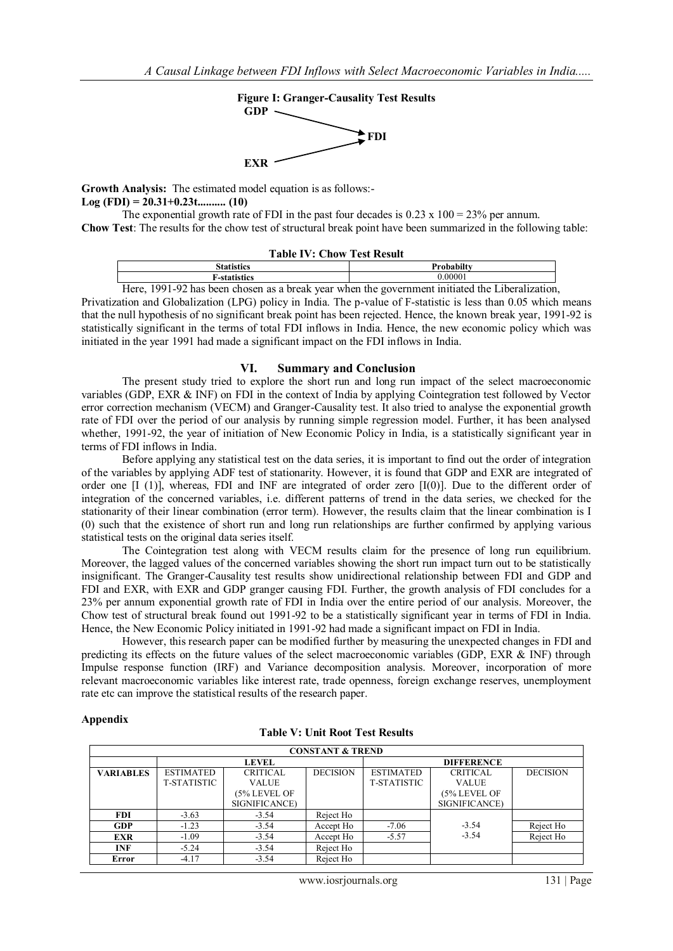

**Growth Analysis:** The estimated model equation is as follows:- **Log (FDI) = 20.31+0.23t.......... (10)**

The exponential growth rate of FDI in the past four decades is  $0.23 \times 100 = 23\%$  per annum. **Chow Test**: The results for the chow test of structural break point have been summarized in the following table:

| <b>Table IV: Chow Test Result</b> |  |  |  |  |  |
|-----------------------------------|--|--|--|--|--|
|-----------------------------------|--|--|--|--|--|

| .<br>.rist<br>    |   |  |  | Probabilty |       |               |  |  |  |
|-------------------|---|--|--|------------|-------|---------------|--|--|--|
| ._etatieties<br>. |   |  |  |            | .0000 |               |  |  |  |
|                   | . |  |  |            | .     | $\sim$ $\sim$ |  |  |  |

Here, 1991-92 has been chosen as a break year when the government initiated the Liberalization, Privatization and Globalization (LPG) policy in India. The p-value of F-statistic is less than 0.05 which means that the null hypothesis of no significant break point has been rejected. Hence, the known break year, 1991-92 is statistically significant in the terms of total FDI inflows in India. Hence, the new economic policy which was

initiated in the year 1991 had made a significant impact on the FDI inflows in India.

### **VI. Summary and Conclusion**

The present study tried to explore the short run and long run impact of the select macroeconomic variables (GDP, EXR & INF) on FDI in the context of India by applying Cointegration test followed by Vector error correction mechanism (VECM) and Granger-Causality test. It also tried to analyse the exponential growth rate of FDI over the period of our analysis by running simple regression model. Further, it has been analysed whether, 1991-92, the year of initiation of New Economic Policy in India, is a statistically significant year in terms of FDI inflows in India.

Before applying any statistical test on the data series, it is important to find out the order of integration of the variables by applying ADF test of stationarity. However, it is found that GDP and EXR are integrated of order one [I (1)], whereas, FDI and INF are integrated of order zero [I(0)]. Due to the different order of integration of the concerned variables, i.e. different patterns of trend in the data series, we checked for the stationarity of their linear combination (error term). However, the results claim that the linear combination is I (0) such that the existence of short run and long run relationships are further confirmed by applying various statistical tests on the original data series itself.

The Cointegration test along with VECM results claim for the presence of long run equilibrium. Moreover, the lagged values of the concerned variables showing the short run impact turn out to be statistically insignificant. The Granger-Causality test results show unidirectional relationship between FDI and GDP and FDI and EXR, with EXR and GDP granger causing FDI. Further, the growth analysis of FDI concludes for a 23% per annum exponential growth rate of FDI in India over the entire period of our analysis. Moreover, the Chow test of structural break found out 1991-92 to be a statistically significant year in terms of FDI in India. Hence, the New Economic Policy initiated in 1991-92 had made a significant impact on FDI in India.

However, this research paper can be modified further by measuring the unexpected changes in FDI and predicting its effects on the future values of the select macroeconomic variables (GDP, EXR & INF) through Impulse response function (IRF) and Variance decomposition analysis. Moreover, incorporation of more relevant macroeconomic variables like interest rate, trade openness, foreign exchange reserves, unemployment rate etc can improve the statistical results of the research paper.

### **Appendix**

| Table V: Unit Root Test Results |  |  |  |  |
|---------------------------------|--|--|--|--|
|---------------------------------|--|--|--|--|

|                  | <b>CONSTANT &amp; TREND</b> |                 |                 |                    |                 |                 |  |  |  |
|------------------|-----------------------------|-----------------|-----------------|--------------------|-----------------|-----------------|--|--|--|
|                  | <b>LEVEL</b>                |                 |                 | <b>DIFFERENCE</b>  |                 |                 |  |  |  |
| <b>VARIABLES</b> | <b>ESTIMATED</b>            | <b>CRITICAL</b> | <b>DECISION</b> | <b>ESTIMATED</b>   | <b>CRITICAL</b> | <b>DECISION</b> |  |  |  |
|                  | T-STATISTIC                 | <b>VALUE</b>    |                 | <b>T-STATISTIC</b> | <b>VALUE</b>    |                 |  |  |  |
|                  |                             | (5% LEVEL OF    |                 |                    | (5% LEVEL OF    |                 |  |  |  |
|                  |                             | SIGNIFICANCE)   |                 |                    | SIGNIFICANCE)   |                 |  |  |  |
| <b>FDI</b>       | $-3.63$                     | $-3.54$         | Reject Ho       |                    |                 |                 |  |  |  |
| <b>GDP</b>       | $-1.23$                     | $-3.54$         | Accept Ho       | $-7.06$            | $-3.54$         | Reject Ho       |  |  |  |
| <b>EXR</b>       | $-1.09$                     | $-3.54$         | Accept Ho       | $-5.57$            | $-3.54$         | Reject Ho       |  |  |  |
| <b>INF</b>       | $-5.24$                     | $-3.54$         | Reject Ho       |                    |                 |                 |  |  |  |
| Error            | $-4.17$                     | $-3.54$         | Reject Ho       |                    |                 |                 |  |  |  |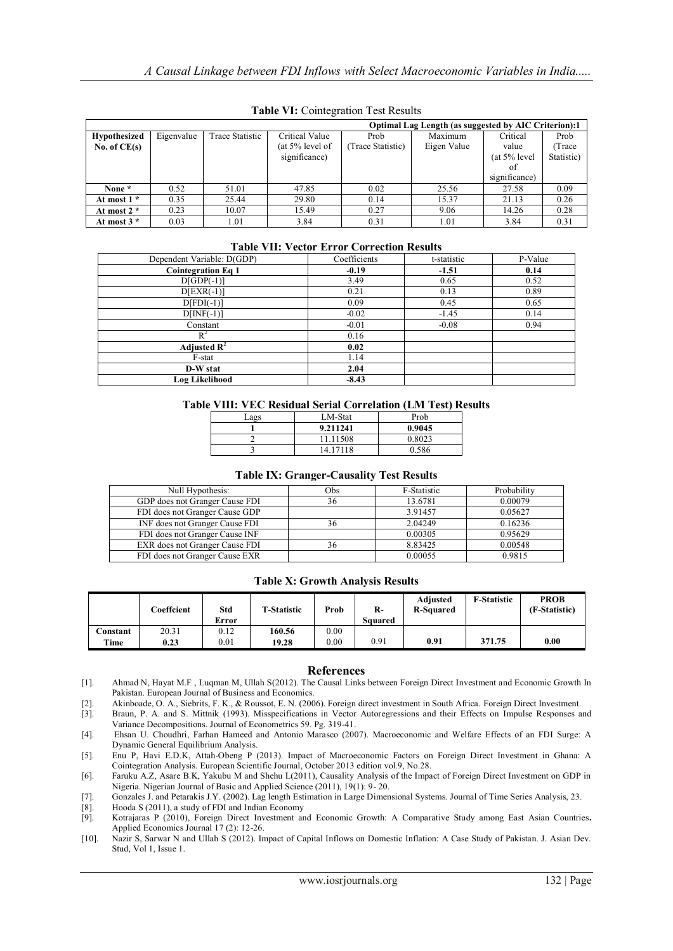|                     | <b>Optimal Lag Length (as suggested by AIC Criterion):1</b> |                 |                    |                   |             |                 |            |  |  |  |
|---------------------|-------------------------------------------------------------|-----------------|--------------------|-------------------|-------------|-----------------|------------|--|--|--|
| <b>Hypothesized</b> | Eigenvalue                                                  | Trace Statistic | Critical Value     | Prob              | Maximum     | Critical        | Prob       |  |  |  |
| No. of $CE(s)$      |                                                             |                 | (at $5\%$ level of | (Trace Statistic) | Eigen Value | value           | Trace      |  |  |  |
|                     |                                                             |                 | significance)      |                   |             | $(at 5\%$ level | Statistic) |  |  |  |
|                     |                                                             |                 |                    |                   |             | оf              |            |  |  |  |
|                     |                                                             |                 |                    |                   |             | significance)   |            |  |  |  |
| None *              | 0.52                                                        | 51.01           | 47.85              | 0.02              | 25.56       | 27.58           | 0.09       |  |  |  |
| At most 1 *         | 0.35                                                        | 25.44           | 29.80              | 0.14              | 15.37       | 21.13           | 0.26       |  |  |  |
| At most $2 *$       | 0.23                                                        | 10.07           | 15.49              | 0.27              | 9.06        | 14.26           | 0.28       |  |  |  |
| At most $3 *$       | 0.03                                                        | 1.01            | 3.84               | 0.31              | 1.01        | 3.84            | 0.31       |  |  |  |

**Table VI:** Cointegration Test Results

#### **Table VII: Vector Error Correction Results**

| Dependent Variable: D(GDP) | Coefficients | t-statistic | P-Value |
|----------------------------|--------------|-------------|---------|
| <b>Cointegration Eq 1</b>  | $-0.19$      | $-1.51$     | 0.14    |
| $D[GDP(-1)]$               | 3.49         | 0.65        | 0.52    |
| $D[EXR(-1)]$               | 0.21         | 0.13        | 0.89    |
| $D[FD(-1)]$                | 0.09         | 0.45        | 0.65    |
| $D[INF(-1)]$               | $-0.02$      | $-1.45$     | 0.14    |
| Constant                   | $-0.01$      | $-0.08$     | 0.94    |
| $R^2$                      | 0.16         |             |         |
| Adjusted $\mathbf{R}^2$    | 0.02         |             |         |
| F-stat                     | 1.14         |             |         |
| D-W stat                   | 2.04         |             |         |
| Log Likelihood             | $-8.43$      |             |         |

#### **Table VIII: VEC Residual Serial Correlation (LM Test) Results**

| Lags | LM-Stat  | Prob   |
|------|----------|--------|
|      | 9.211241 | 0.9045 |
|      | 11.11508 | 0.8023 |
|      | 14.17118 | 0.586  |
|      |          |        |

#### **Table IX: Granger-Causality Test Results**

| Null Hypothesis:               | Obs | F-Statistic | Probability |
|--------------------------------|-----|-------------|-------------|
| GDP does not Granger Cause FDI | 36  | 13.6781     | 0.00079     |
| FDI does not Granger Cause GDP |     | 3.91457     | 0.05627     |
| INF does not Granger Cause FDI | 36  | 2.04249     | 0.16236     |
| FDI does not Granger Cause INF |     | 0.00305     | 0.95629     |
| EXR does not Granger Cause FDI | 36  | 8.83425     | 0.00548     |
| FDI does not Granger Cause EXR |     | 0.00055     | 0.9815      |

#### **Table X: Growth Analysis Results**

|          | Coeffcient | Std<br>Error | <b>T-Statistic</b> | Prob | $R-$<br>Squared | Adjusted<br><b>R-Squared</b> | <b>F-Statistic</b> | <b>PROB</b><br>(F-Statistic) |
|----------|------------|--------------|--------------------|------|-----------------|------------------------------|--------------------|------------------------------|
| Constant | 20.31      | 0.12         | 160.56             | 0.00 |                 |                              |                    |                              |
| Time     | 0.23       | 0.01         | 19.28              | 0.00 | 0.91            | 0.91                         | 371.75             | 0.00                         |

### **References**

[1]. Ahmad N, Hayat M.F , Luqman M, Ullah S(2012). The Causal Links between Foreign Direct Investment and Economic Growth In Pakistan. European Journal of Business and Economics.

[2]. Akinboade, O. A., Siebrits, F. K., & Roussot, E. N. (2006). Foreign direct investment in South Africa. Foreign Direct Investment.<br>[3]. Braun, P. A. and S. Mittnik (1993). Misspecifications in Vector Autoregressions an

Braun, P. A. and S. Mittnik (1993). Misspecifications in Vector Autoregressions and their Effects on Impulse Responses and Variance Decompositions. Journal of Econometrics 59. Pg. 319-41.

[4]. Ehsan U. Choudhri, Farhan Hameed and Antonio Marasco (2007). Macroeconomic and Welfare Effects of an FDI Surge: A Dynamic General Equilibrium Analysis.

[5]. Enu P, Havi E.D.K, Attah-Obeng P (2013). Impact of Macroeconomic Factors on Foreign Direct Investment in Ghana: A Cointegration Analysis. European Scientific Journal, October 2013 edition vol.9, No.28.

[6]. Faruku A.Z, Asare B.K, Yakubu M and Shehu L(2011), Causality Analysis of the Impact of Foreign Direct Investment on GDP in Nigeria. Nigerian Journal of Basic and Applied Science (2011), 19(1): 9- 20.

[7]. Gonzales J. and Petarakis J.Y. (2002). Lag length Estimation in Large Dimensional Systems. Journal of Time Series Analysis, 23.

[8]. Hooda S (2011), a study of FDI and Indian Economy

[9]. Kotrajaras P (2010), Foreign Direct Investment and Economic Growth: A Comparative Study among East Asian Countries**.**  Applied Economics Journal 17 (2): 12-26.

[10]. Nazir S, Sarwar N and Ullah S (2012). Impact of Capital Inflows on Domestic Inflation: A Case Study of Pakistan. J. Asian Dev. Stud, Vol 1, Issue 1.